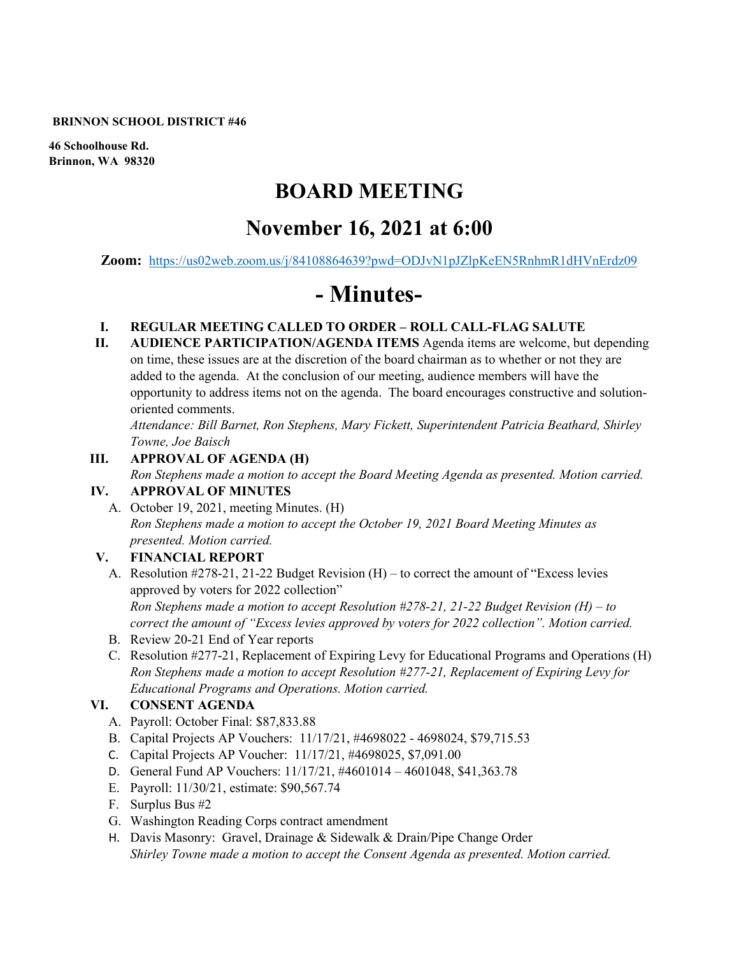#### **BRINNON SCHOOL DISTRICT #46**

**46 Schoolhouse Rd. Brinnon, WA 98320**

# **BOARD MEETING**

# **November 16, 2021 at 6:00**

**Zoom:** <https://us02web.zoom.us/j/84108864639?pwd=ODJvN1pJZlpKeEN5RnhmR1dHVnErdz09>

# **- Minutes-**

- **I. REGULAR MEETING CALLED TO ORDER ROLL CALL-FLAG SALUTE**
- **II. AUDIENCE PARTICIPATION/AGENDA ITEMS** Agenda items are welcome, but depending on time, these issues are at the discretion of the board chairman as to whether or not they are added to the agenda. At the conclusion of our meeting, audience members will have the opportunity to address items not on the agenda. The board encourages constructive and solutionoriented comments.

*Attendance: Bill Barnet, Ron Stephens, Mary Fickett, Superintendent Patricia Beathard, Shirley Towne, Joe Baisch* 

### **III. APPROVAL OF AGENDA (H)**

*Ron Stephens made a motion to accept the Board Meeting Agenda as presented. Motion carried.*  **IV. APPROVAL OF MINUTES**

A. October 19, 2021, meeting Minutes. (H) *Ron Stephens made a motion to accept the October 19, 2021 Board Meeting Minutes as presented. Motion carried.* 

# **V. FINANCIAL REPORT**

- A. Resolution #278-21, 21-22 Budget Revision (H) to correct the amount of "Excess levies approved by voters for 2022 collection" *Ron Stephens made a motion to accept Resolution #278-21, 21-22 Budget Revision (H) – to correct the amount of "Excess levies approved by voters for 2022 collection". Motion carried.*
- B. Review 20-21 End of Year reports
- C. Resolution #277-21, Replacement of Expiring Levy for Educational Programs and Operations (H) *Ron Stephens made a motion to accept Resolution #277-21, Replacement of Expiring Levy for Educational Programs and Operations. Motion carried.*

# **VI. CONSENT AGENDA**

- A. Payroll: October Final: \$87,833.88
- B. Capital Projects AP Vouchers: 11/17/21, #4698022 4698024, \$79,715.53
- C. Capital Projects AP Voucher: 11/17/21, #4698025, \$7,091.00
- D. General Fund AP Vouchers: 11/17/21, #4601014 4601048, \$41,363.78
- E. Payroll: 11/30/21, estimate: \$90,567.74
- F. Surplus Bus #2
- G. Washington Reading Corps contract amendment
- H. Davis Masonry: Gravel, Drainage & Sidewalk & Drain/Pipe Change Order *Shirley Towne made a motion to accept the Consent Agenda as presented. Motion carried.*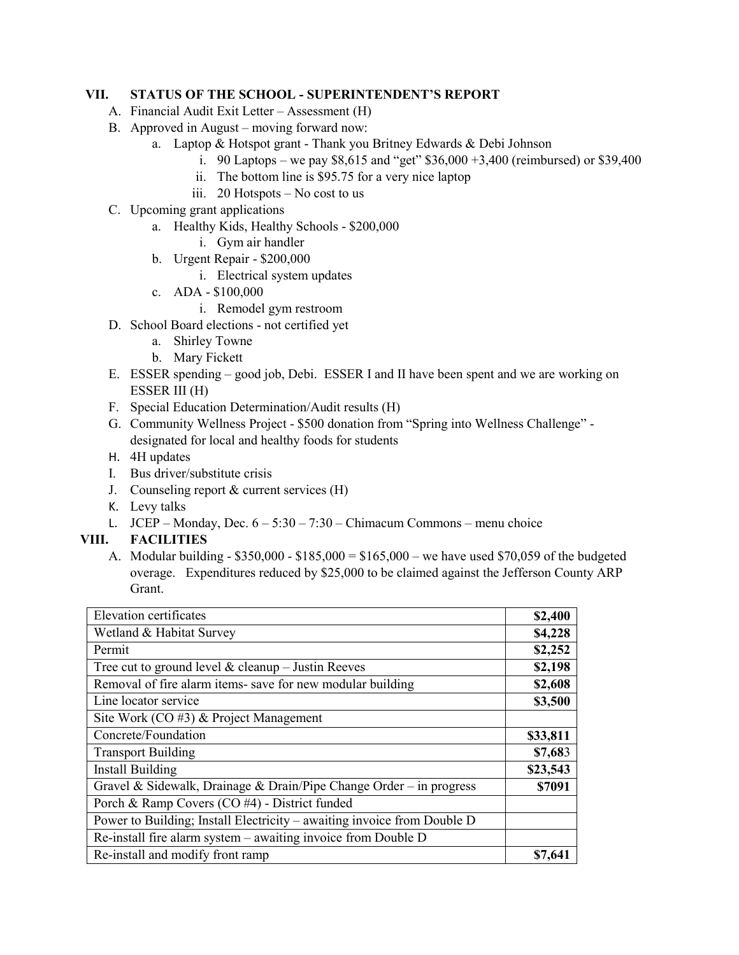#### **VII. STATUS OF THE SCHOOL - SUPERINTENDENT'S REPORT**

- A. Financial Audit Exit Letter Assessment (H)
- B. Approved in August moving forward now:
	- a. Laptop & Hotspot grant Thank you Britney Edwards & Debi Johnson
		- i. 90 Laptops we pay \$8,615 and "get" \$36,000 +3,400 (reimbursed) or \$39,400
		- ii. The bottom line is \$95.75 for a very nice laptop
		- iii. 20 Hotspots No cost to us
- C. Upcoming grant applications
	- a. Healthy Kids, Healthy Schools \$200,000
		- i. Gym air handler
	- b. Urgent Repair \$200,000
		- i. Electrical system updates
	- c. ADA \$100,000
		- i. Remodel gym restroom
- D. School Board elections not certified yet
	- a. Shirley Towne
	- b. Mary Fickett
- E. ESSER spending good job, Debi. ESSER I and II have been spent and we are working on ESSER III (H)
- F. Special Education Determination/Audit results (H)
- G. Community Wellness Project \$500 donation from "Spring into Wellness Challenge" designated for local and healthy foods for students
- H. 4H updates
- I. Bus driver/substitute crisis
- J. Counseling report & current services (H)
- K. Levy talks
- L. JCEP Monday, Dec.  $6 5:30 7:30$  Chimacum Commons menu choice

# **VIII. FACILITIES**

A. Modular building - \$350,000 - \$185,000 = \$165,000 – we have used \$70,059 of the budgeted overage. Expenditures reduced by \$25,000 to be claimed against the Jefferson County ARP Grant.

| <b>Elevation certificates</b>                                           | \$2,400  |
|-------------------------------------------------------------------------|----------|
| Wetland & Habitat Survey                                                | \$4,228  |
| Permit                                                                  | \$2,252  |
| Tree cut to ground level $&$ cleanup - Justin Reeves                    | \$2,198  |
| Removal of fire alarm items- save for new modular building              | \$2,608  |
| Line locator service                                                    | \$3,500  |
| Site Work (CO #3) & Project Management                                  |          |
| Concrete/Foundation                                                     | \$33,811 |
| <b>Transport Building</b>                                               | \$7,683  |
| Install Building                                                        | \$23,543 |
| Gravel & Sidewalk, Drainage & Drain/Pipe Change Order – in progress     | \$7091   |
| Porch & Ramp Covers (CO #4) - District funded                           |          |
| Power to Building; Install Electricity – awaiting invoice from Double D |          |
| Re-install fire alarm system $-$ awaiting invoice from Double D         |          |
| Re-install and modify front ramp                                        | \$7,641  |